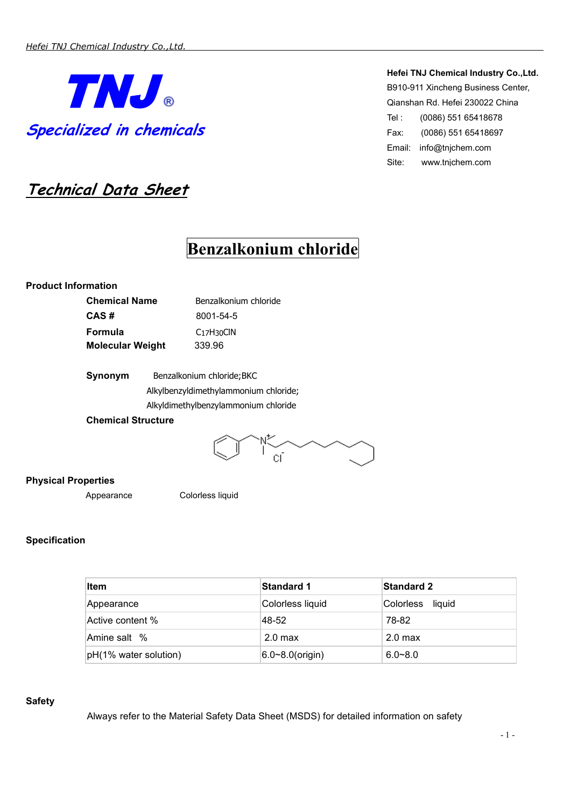

**Technical Data Sheet**

#### **Hefei TNJ Chemical Industry Co.,Ltd.**

B910-911 Xincheng Business Center, Qianshan Rd. Hefei 230022 China Tel : (0086) 551 65418678 Fax: (0086) 551 65418697 Email: [info@tnjchem.com](mailto:info@tnjchem.com) Site: www.tnjchem.com

# **Benzalkonium chloride**

# **Product Information**

| <b>Chemical Name</b>    | Benzalkonium chloride                  |
|-------------------------|----------------------------------------|
| CAS#                    | 8001-54-5                              |
| Formula                 | $C_1$ <sub>7</sub> H <sub>30</sub> CIN |
| <b>Molecular Weight</b> | 339.96                                 |

| Synonym | Benzalkonium chloride; BKC            |
|---------|---------------------------------------|
|         | Alkylbenzyldimethylammonium chloride; |
|         | Alkyldimethylbenzylammonium chloride  |

# **Chemical Structure**



# **Physical Properties**

Appearance Colorless liquid

# **Specification**

| Item                  | <b>Standard 1</b>    | <b>Standard 2</b>   |
|-----------------------|----------------------|---------------------|
| Appearance            | Colorless liquid     | Colorless<br>liauid |
| Active content %      | 48-52                | 78-82               |
| Amine salt %          | 2.0 <sub>max</sub>   | 2.0 <sub>max</sub>  |
| pH(1% water solution) | $6.0 - 8.0$ (origin) | $6.0 - 8.0$         |

#### **Safety**

Always refer to the Material Safety Data Sheet (MSDS) for detailed information on safety